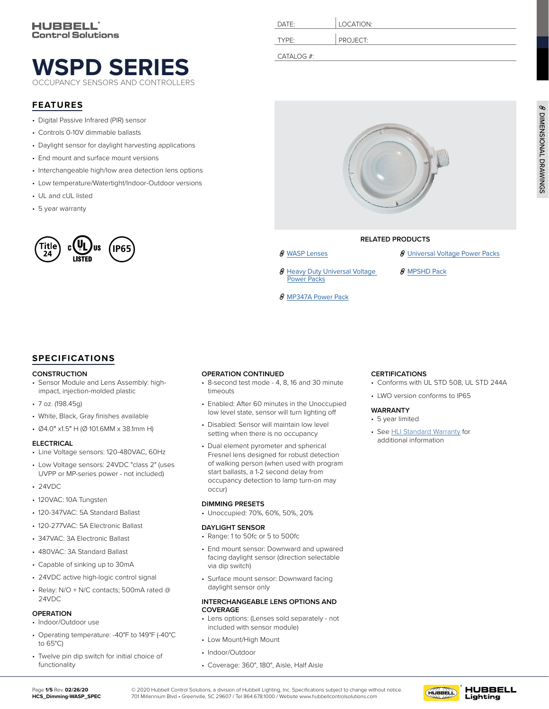# **[WSPD SERIES](https://www.hubbell.com/hubbellcontrolsolutions/en/Products/Lighting-Controls/Lighting-Controls-Sensors/OEM-Fixture-Controls/Dimming-WASP/p/220888)** OCCUPANCY SENSORS AND CONTROLLERS

### **FEATURES**

- Digital Passive Infrared (PIR) sensor
- Controls 0-10V dimmable ballasts
- Daylight sensor for daylight harvesting applications
- End mount and surface mount versions
- Interchangeable high/low area detection lens options
- Low temperature/Watertight/Indoor-Outdoor versions
- UL and cUL listed
- 5 year warranty



## **SPECIFICATIONS**

#### **CONSTRUCTION**

- Sensor Module and Lens Assembly: highimpact, injection-molded plastic
- 7 oz. (198.45g)
- White, Black, Gray finishes available
- Ø4.0" x1.5" H (Ø 101.6MM x 38.1mm H)

#### **ELECTRICAL**

- Line Voltage sensors: 120-480VAC, 60Hz
- Low Voltage sensors: 24VDC "class 2" (uses UVPP or MP-series power - not included)
- 24VDC
- 120VAC: 10A Tungsten
- 120-347VAC: 5A Standard Ballast
- 120-277VAC: 5A Electronic Ballast
- 347VAC: 3A Electronic Ballast
- 480VAC: 3A Standard Ballast
- Capable of sinking up to 30mA
- 24VDC active high-logic control signal
- Relay: N/O + N/C contacts; 500mA rated @ 24VDC

### **OPERATION**

- Indoor/Outdoor use
- Operating temperature: -40°F to 149°F (-40°C to 65°C)
- Twelve pin dip switch for initial choice of functionality

| DATE:      | LOCATION: |
|------------|-----------|
| TYPE:      | PROJECT:  |
| CATALOG #: |           |



### **RELATED PRODUCTS**

**CERTIFICATIONS**

**WARRANTY** • 5 year limited

- 
- 8 Heavy Duty Universal Voltage [Power Packs](https://www.hubbell.com/hubbellcontrolsolutions/en/Products/Lighting-Controls/Lighting-Controls-Sensors/Power-Packs-and-Controlled-Relays/Heavy-Duty-Universal-Voltage-Power-Packs/p/2157873)
- 8 [MP347A Power Pack](https://www.hubbell.com/hubbellcontrolsolutions/en/Products/Lighting-Controls/Lighting-Controls-Sensors/Power-Packs-and-Controlled-Relays/MP347A-Power-Pack/p/220935)
- **8** WASP Lenses **8** [Universal Voltage Power Packs](https://www.hubbell.com/hubbellcontrolsolutions/en/Products/Lighting-Controls/Lighting-Controls-Sensors/Power-Packs-and-Controlled-Relays/Universal-Voltage-Power-Packs/p/220965)

• Conforms with UL STD 508, UL STD 244A

• LWO version conforms to IP65

• See [HLI Standard Warranty](https://hubbellcdn.com/warranty/Hubbell%20Lighting%20Indoor%20Limited%20Warranty%20-%2030%20Jan%202015.pdf) for additional information

8 [MPSHD Pack](https://www.hubbell.com/hubbellcontrolsolutions/en/Products/Lighting-Controls/Lighting-Controls-Sensors/Power-Packs-and-Controlled-Relays/MPSHD/p/2157868)

### **OPERATION CONTINUED**

- 8-second test mode 4, 8, 16 and 30 minute timeouts
- Enabled: After 60 minutes in the Unoccupied low level state, sensor will turn lighting off
- Disabled: Sensor will maintain low level setting when there is no occupancy
- Dual element pyrometer and spherical Fresnel lens designed for robust detection of walking person (when used with program start ballasts, a 1-2 second delay from occupancy detection to lamp turn-on may occur)

#### **DIMMING PRESETS**

• Unoccupied: 70%, 60%, 50%, 20%

#### **DAYLIGHT SENSOR**

- Range: 1 to 50fc or 5 to 500fc
- End mount sensor: Downward and upwared facing daylight sensor (direction selectable via dip switch)
- Surface mount sensor: Downward facing daylight sensor only

#### **INTERCHANGEABLE LENS OPTIONS AND COVERAGE**

- Lens options: (Lenses sold separately not included with sensor module)
- Low Mount/High Mount
- Indoor/Outdoor
- Coverage: 360°, 180°, Aisle, Half Aisle

#### Page **1/5** Rev. **02/26/20 HCS\_Dimming-WASP\_SPEC**

© 2020 Hubbell Control Solutions, a division of Hubbell Lighting, Inc. Specifications subject to change without notice. 701 Millennium Blvd • Greenville, SC 29607 / Tel 864.678.1000 / Website www.hubbellcontrolsolutions.com

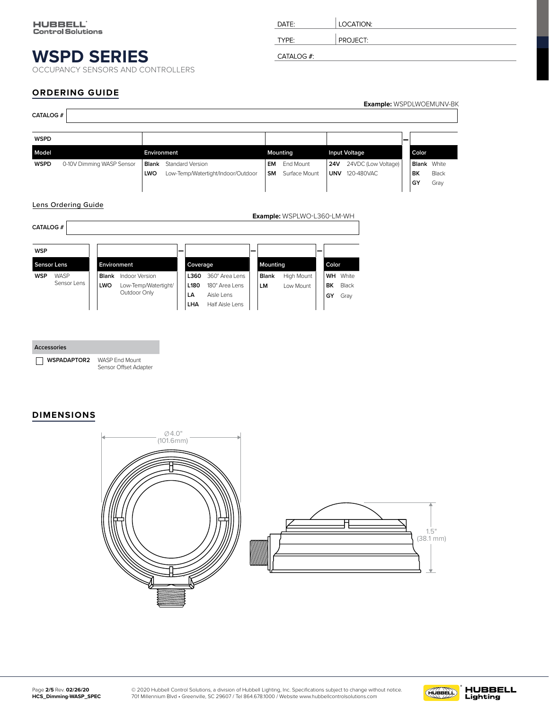<span id="page-1-0"></span>OCCUPANCY SENSORS AND CONTROLLERS

| DATE:      | LOCATION: |
|------------|-----------|
| TYPE:      | PROJECT:  |
| CATALOG #: |           |

## **ORDERING GUIDE**

| <b>CATALOG#</b>                                          |                            |            |                                                                     |                                                               |                           |                                                                   |                 |                            |                            |                                                            |                        |                                | <b>Example: WSPDLWOEMUNV-BK</b> |  |
|----------------------------------------------------------|----------------------------|------------|---------------------------------------------------------------------|---------------------------------------------------------------|---------------------------|-------------------------------------------------------------------|-----------------|----------------------------|----------------------------|------------------------------------------------------------|------------------------|--------------------------------|---------------------------------|--|
| <b>WSPD</b>                                              |                            |            |                                                                     |                                                               |                           |                                                                   |                 |                            |                            |                                                            |                        |                                |                                 |  |
| Model                                                    |                            |            | Environment                                                         |                                                               |                           |                                                                   |                 | Mounting                   |                            | <b>Input Voltage</b>                                       |                        | Color                          |                                 |  |
| <b>WSPD</b><br>0-10V Dimming WASP Sensor<br>Blank<br>LWO |                            |            |                                                                     | <b>Standard Version</b><br>Low-Temp/Watertight/Indoor/Outdoor |                           |                                                                   | EM<br><b>SM</b> | End Mount<br>Surface Mount |                            | 24VDC (Low Voltage)<br><b>24V</b><br><b>UNV</b> 120-480VAC |                        | <b>Blank</b> White<br>BK<br>GY | Black<br>Gray                   |  |
| <b>CATALOG#</b>                                          | <b>Lens Ordering Guide</b> |            |                                                                     |                                                               |                           |                                                                   |                 |                            | Example: WSPLWO-L360-LM-WH |                                                            |                        |                                |                                 |  |
| <b>WSP</b>                                               |                            |            |                                                                     |                                                               |                           |                                                                   |                 |                            |                            |                                                            |                        |                                |                                 |  |
| Environment<br>Sensor Lens                               |                            |            |                                                                     | Coverage                                                      |                           |                                                                   | Mounting        | Color                      |                            |                                                            |                        |                                |                                 |  |
| <b>WSP</b>                                               | WASP<br>Sensor Lens        | <b>LWO</b> | <b>Blank</b> Indoor Version<br>Low-Temp/Watertight/<br>Outdoor Only |                                                               | L360<br>L180<br>LA<br>LHA | 360° Area Lens<br>180° Area Lens<br>Aisle Lens<br>Half Aisle Lens |                 | <b>Blank</b><br>LM         | High Mount<br>Low Mount    | WH<br>BK<br>GY                                             | White<br>Black<br>Gray |                                |                                 |  |

| Accessories                       |                       |
|-----------------------------------|-----------------------|
| <b>WSPADAPTOR2</b> WASP End Mount | Sensor Offset Adapter |

### **DIMENSIONS**



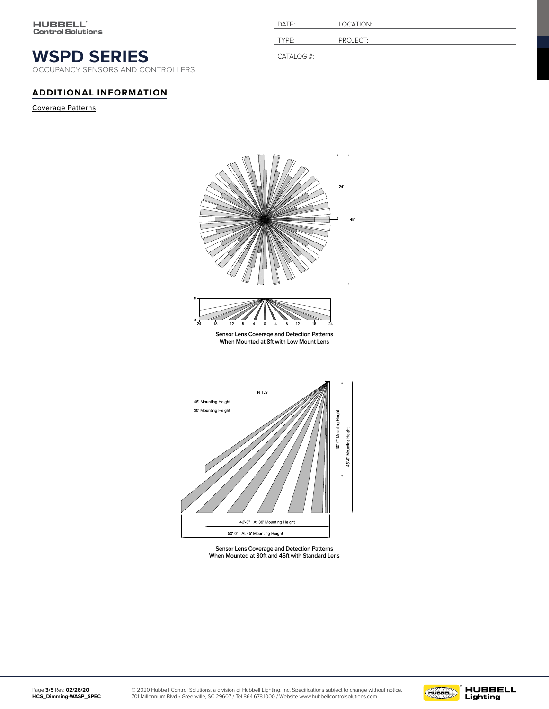OCCUPANCY SENSORS AND CONTROLLERS

### **ADDITIONAL INFORMATION**

Coverage Patterns

| DATE:             | LOCATION: |
|-------------------|-----------|
| TYPF <sup>.</sup> | PROJECT:  |
| CATALOG #:        |           |



**Sensor Lens Coverage and Detection Patterns When Mounted at 30ft and 45ft with Standard Lens**

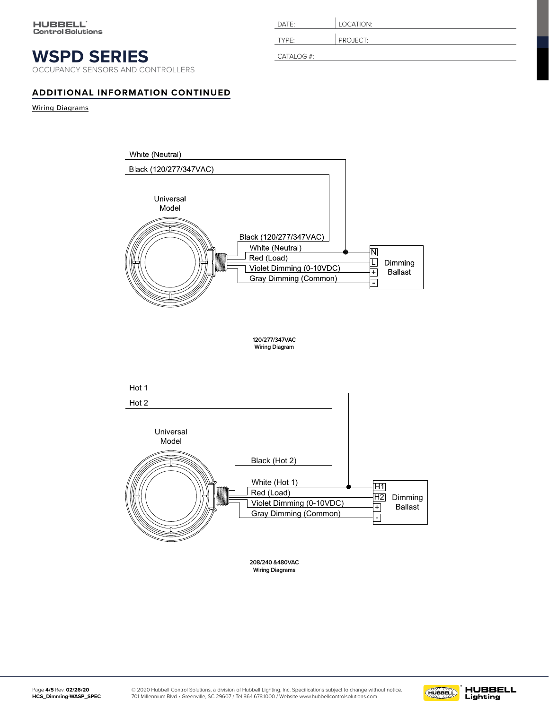OCCUPANCY SENSORS AND CONTROLLERS

# TYPE: PROJECT: CATALOG #:

DATE: **LOCATION:** 

## **ADDITIONAL INFORMATION CONTINUED**

Wiring Diagrams



**Wiring Diagrams**